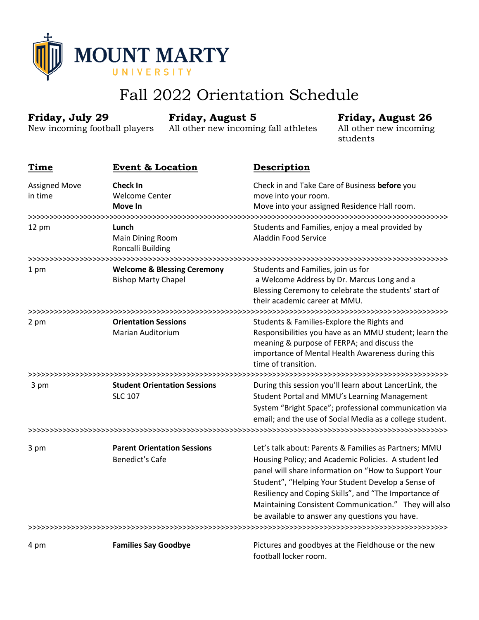

# Fall 2022 Orientation Schedule

| Friday, July 29<br>New incoming football players |                                                                      | <b>Friday, August 5</b><br>All other new incoming fall athletes |                                                                                                                                                                            | <b>Friday, August 26</b><br>All other new incoming<br>students                                                                                                                                                                                                                                                                                                                                  |  |
|--------------------------------------------------|----------------------------------------------------------------------|-----------------------------------------------------------------|----------------------------------------------------------------------------------------------------------------------------------------------------------------------------|-------------------------------------------------------------------------------------------------------------------------------------------------------------------------------------------------------------------------------------------------------------------------------------------------------------------------------------------------------------------------------------------------|--|
| Time                                             | <b>Event &amp; Location</b>                                          |                                                                 | <b>Description</b>                                                                                                                                                         |                                                                                                                                                                                                                                                                                                                                                                                                 |  |
| <b>Assigned Move</b><br>in time                  | <b>Check In</b><br><b>Welcome Center</b><br>Move In                  |                                                                 | Check in and Take Care of Business before you<br>move into your room.<br>Move into your assigned Residence Hall room.                                                      |                                                                                                                                                                                                                                                                                                                                                                                                 |  |
| 12 pm                                            | Lunch<br>Main Dining Room<br>Roncalli Building                       |                                                                 | Students and Families, enjoy a meal provided by<br>Aladdin Food Service                                                                                                    |                                                                                                                                                                                                                                                                                                                                                                                                 |  |
| 1 pm                                             | <b>Welcome &amp; Blessing Ceremony</b><br><b>Bishop Marty Chapel</b> |                                                                 | Students and Families, join us for<br>a Welcome Address by Dr. Marcus Long and a<br>Blessing Ceremony to celebrate the students' start of<br>their academic career at MMU. |                                                                                                                                                                                                                                                                                                                                                                                                 |  |
| 2 pm                                             | <b>Orientation Sessions</b><br><b>Marian Auditorium</b>              |                                                                 | time of transition.                                                                                                                                                        | Students & Families-Explore the Rights and<br>Responsibilities you have as an MMU student; learn the<br>meaning & purpose of FERPA; and discuss the<br>importance of Mental Health Awareness during this                                                                                                                                                                                        |  |
| 3 pm                                             | <b>SLC 107</b>                                                       | <b>Student Orientation Sessions</b>                             |                                                                                                                                                                            | During this session you'll learn about LancerLink, the<br>Student Portal and MMU's Learning Management<br>System "Bright Space"; professional communication via<br>email; and the use of Social Media as a college student.                                                                                                                                                                     |  |
|                                                  |                                                                      |                                                                 |                                                                                                                                                                            |                                                                                                                                                                                                                                                                                                                                                                                                 |  |
| 3 pm                                             | Benedict's Cafe                                                      | <b>Parent Orientation Sessions</b>                              |                                                                                                                                                                            | Let's talk about: Parents & Families as Partners; MMU<br>Housing Policy; and Academic Policies. A student led<br>panel will share information on "How to Support Your<br>Student", "Helping Your Student Develop a Sense of<br>Resiliency and Coping Skills", and "The Importance of<br>Maintaining Consistent Communication." They will also<br>be available to answer any questions you have. |  |
| 4 pm                                             | <b>Families Say Goodbye</b>                                          |                                                                 |                                                                                                                                                                            | Pictures and goodbyes at the Fieldhouse or the new                                                                                                                                                                                                                                                                                                                                              |  |

football locker room.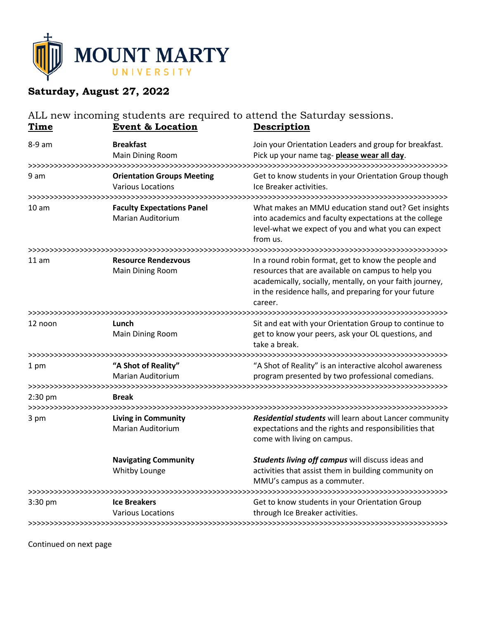

# **Saturday, August 27, 2022**

#### ALL new incoming students are required to attend the Saturday sessions. **Time Event & Location Description** 8-9 am **Breakfast** Join your Orientation Leaders and group for breakfast. Main Dining Room Pick up your name tag- **please wear all day**. >>>>>>>>>>>>>>>>>>>>>>>>>>>>>>>>>>>>>>>>>>>>>>>>>>>>>>>>>>>>>>>>>>>>>>>>>>>>>>>>>>>>>>>>>>>>>>>>>> 9 am **Orientation Groups Meeting** Get to know students in your Orientation Group though Various Locations **Internal Community** Ice Breaker activities. >>>>>>>>>>>>>>>>>>>>>>>>>>>>>>>>>>>>>>>>>>>>>>>>>>>>>>>>>>>>>>>>>>>>>>>>>>>>>>>>>>>>>>>>>>>>>>>>>> 10 am **Faculty Expectations Panel** What makes an MMU education stand out? Get insights Marian Auditorium into academics and faculty expectations at the college level-what we expect of you and what you can expect from us. >>>>>>>>>>>>>>>>>>>>>>>>>>>>>>>>>>>>>>>>>>>>>>>>>>>>>>>>>>>>>>>>>>>>>>>>>>>>>>>>>>>>>>>>>>>>>>>>>> 11 am **Resource Rendezvous** In a round robin format, get to know the people and Main Dining Room **resources that are available on campus to help you** academically, socially, mentally, on your faith journey, in the residence halls, and preparing for your future career. >>>>>>>>>>>>>>>>>>>>>>>>>>>>>>>>>>>>>>>>>>>>>>>>>>>>>>>>>>>>>>>>>>>>>>>>>>>>>>>>>>>>>>>>>>>>>>>>>> 12 noon **Lunch** Sit and eat with your Orientation Group to continue to Main Dining Room example and get to know your peers, ask your OL questions, and take a break. >>>>>>>>>>>>>>>>>>>>>>>>>>>>>>>>>>>>>>>>>>>>>>>>>>>>>>>>>>>>>>>>>>>>>>>>>>>>>>>>>>>>>>>>>>>>>>>>>> 1 pm **"A Shot of Reality"** "A Shot of Reality" is an interactive alcohol awareness Marian Auditorium program presented by two professional comedians. >>>>>>>>>>>>>>>>>>>>>>>>>>>>>>>>>>>>>>>>>>>>>>>>>>>>>>>>>>>>>>>>>>>>>>>>>>>>>>>>>>>>>>>>>>>>>>>>>> 2:30 pm **Break** >>>>>>>>>>>>>>>>>>>>>>>>>>>>>>>>>>>>>>>>>>>>>>>>>>>>>>>>>>>>>>>>>>>>>>>>>>>>>>>>>>>>>>>>>>>>>>>>>> 3 pm **Living in Community** *Residential students* will learn about Lancer community Marian Auditorium expectations and the rights and responsibilities that come with living on campus. **Navigating Community** *Students living off campus* will discuss ideas and Whitby Lounge activities that assist them in building community on MMU's campus as a commuter. >>>>>>>>>>>>>>>>>>>>>>>>>>>>>>>>>>>>>>>>>>>>>>>>>>>>>>>>>>>>>>>>>>>>>>>>>>>>>>>>>>>>>>>>>>>>>>>>>> 3:30 pm **Ice Breakers** Get to know students in your Orientation Group Various Locations The Control of through Ice Breaker activities. >>>>>>>>>>>>>>>>>>>>>>>>>>>>>>>>>>>>>>>>>>>>>>>>>>>>>>>>>>>>>>>>>>>>>>>>>>>>>>>>>>>>>>>>>>>>>>>>>>

Continued on next page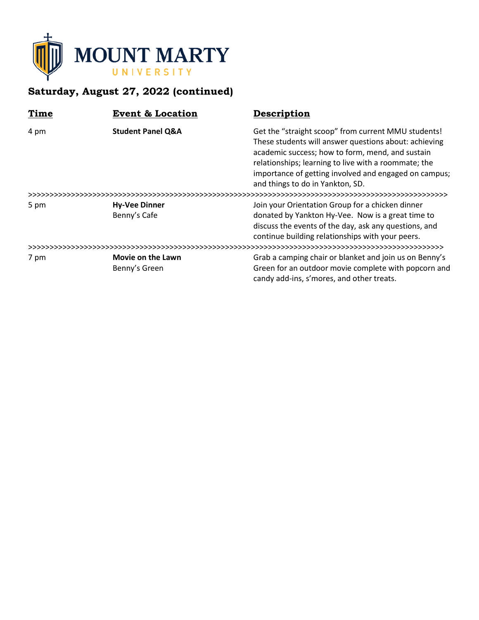

# **Saturday, August 27, 2022 (continued)**

| Time | <b>Event &amp; Location</b>          | Description                                                                                                                                                                                                                                                                                                           |
|------|--------------------------------------|-----------------------------------------------------------------------------------------------------------------------------------------------------------------------------------------------------------------------------------------------------------------------------------------------------------------------|
| 4 pm | <b>Student Panel Q&amp;A</b>         | Get the "straight scoop" from current MMU students!<br>These students will answer questions about: achieving<br>academic success; how to form, mend, and sustain<br>relationships; learning to live with a roommate; the<br>importance of getting involved and engaged on campus;<br>and things to do in Yankton, SD. |
|      |                                      |                                                                                                                                                                                                                                                                                                                       |
| 5 pm | <b>Hy-Vee Dinner</b><br>Benny's Cafe | Join your Orientation Group for a chicken dinner<br>donated by Yankton Hy-Vee. Now is a great time to<br>discuss the events of the day, ask any questions, and<br>continue building relationships with your peers.                                                                                                    |
|      |                                      |                                                                                                                                                                                                                                                                                                                       |
| 7 pm | Movie on the Lawn<br>Benny's Green   | Grab a camping chair or blanket and join us on Benny's<br>Green for an outdoor movie complete with popcorn and<br>candy add-ins, s'mores, and other treats.                                                                                                                                                           |